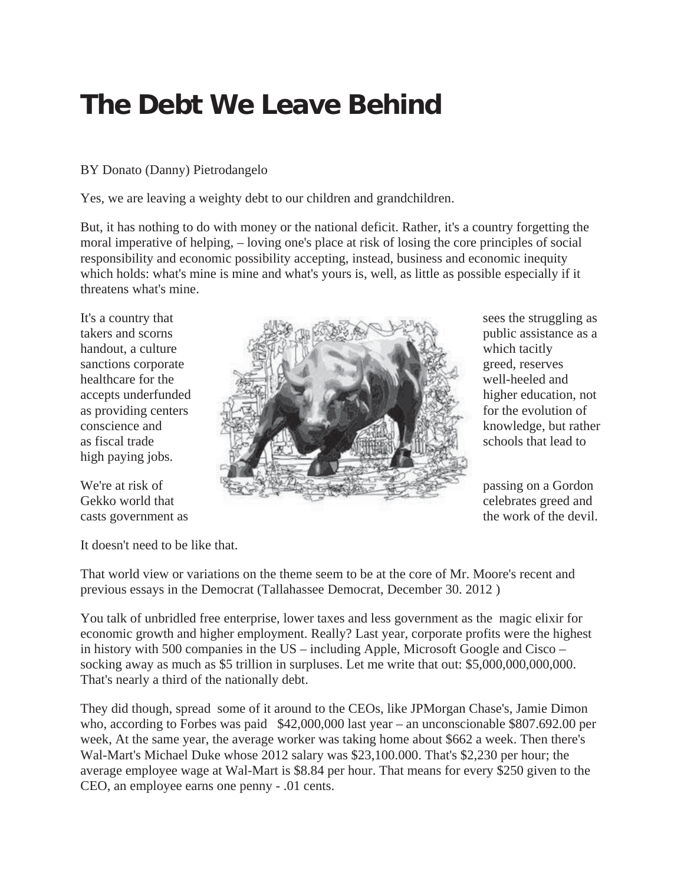## **The Debt We Leave Behind**

## BY Donato (Danny) Pietrodangelo

Yes, we are leaving a weighty debt to our children and grandchildren.

But, it has nothing to do with money or the national deficit. Rather, it's a country forgetting the moral imperative of helping, – loving one's place at risk of losing the core principles of social responsibility and economic possibility accepting, instead, business and economic inequity which holds: what's mine is mine and what's yours is, well, as little as possible especially if it threatens what's mine.

high paying jobs.

It doesn't need to be like that.

That world view or variations on the theme seem to be at the core of Mr. Moore's recent and previous essays in the Democrat (Tallahassee Democrat, December 30. 2012 )

You talk of unbridled free enterprise, lower taxes and less government as the magic elixir for economic growth and higher employment. Really? Last year, corporate profits were the highest in history with 500 companies in the US – including Apple, Microsoft Google and Cisco – socking away as much as \$5 trillion in surpluses. Let me write that out: \$5,000,000,000,000. That's nearly a third of the nationally debt.

They did though, spread some of it around to the CEOs, like JPMorgan Chase's, Jamie Dimon who, according to Forbes was paid \$42,000,000 last year – an unconscionable \$807.692.00 per week, At the same year, the average worker was taking home about \$662 a week. Then there's Wal-Mart's Michael Duke whose 2012 salary was \$23,100.000. That's \$2,230 per hour; the average employee wage at Wal-Mart is \$8.84 per hour. That means for every \$250 given to the CEO, an employee earns one penny - .01 cents.

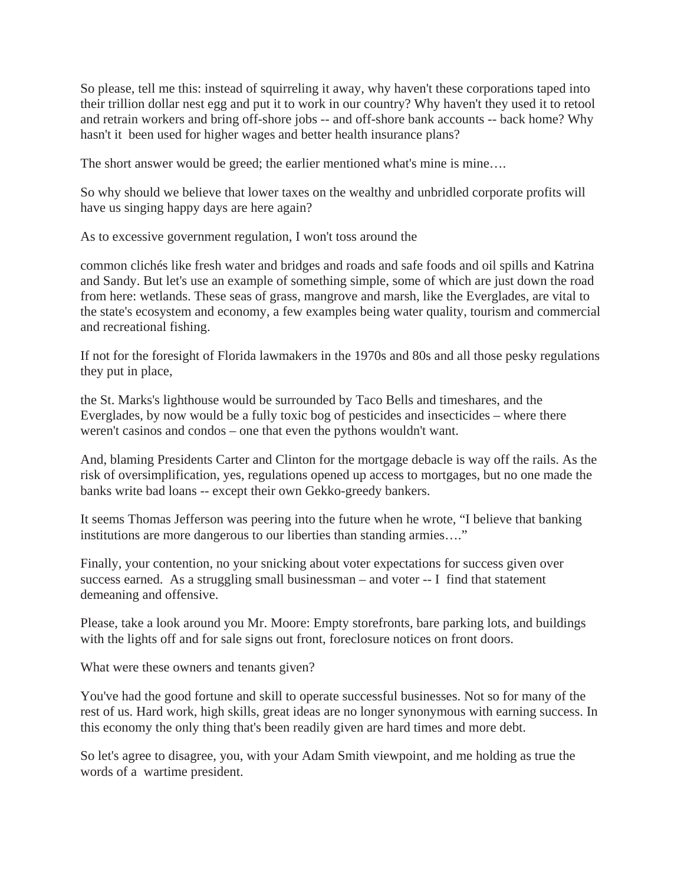So please, tell me this: instead of squirreling it away, why haven't these corporations taped into their trillion dollar nest egg and put it to work in our country? Why haven't they used it to retool and retrain workers and bring off-shore jobs -- and off-shore bank accounts -- back home? Why hasn't it been used for higher wages and better health insurance plans?

The short answer would be greed; the earlier mentioned what's mine is mine....

So why should we believe that lower taxes on the wealthy and unbridled corporate profits will have us singing happy days are here again?

As to excessive government regulation, I won't toss around the

common clichés like fresh water and bridges and roads and safe foods and oil spills and Katrina and Sandy. But let's use an example of something simple, some of which are just down the road from here: wetlands. These seas of grass, mangrove and marsh, like the Everglades, are vital to the state's ecosystem and economy, a few examples being water quality, tourism and commercial and recreational fishing.

If not for the foresight of Florida lawmakers in the 1970s and 80s and all those pesky regulations they put in place,

the St. Marks's lighthouse would be surrounded by Taco Bells and timeshares, and the Everglades, by now would be a fully toxic bog of pesticides and insecticides – where there weren't casinos and condos – one that even the pythons wouldn't want.

And, blaming Presidents Carter and Clinton for the mortgage debacle is way off the rails. As the risk of oversimplification, yes, regulations opened up access to mortgages, but no one made the banks write bad loans -- except their own Gekko-greedy bankers.

It seems Thomas Jefferson was peering into the future when he wrote, "I believe that banking institutions are more dangerous to our liberties than standing armies…."

Finally, your contention, no your snicking about voter expectations for success given over success earned. As a struggling small businessman – and voter -- I find that statement demeaning and offensive.

Please, take a look around you Mr. Moore: Empty storefronts, bare parking lots, and buildings with the lights off and for sale signs out front, foreclosure notices on front doors.

What were these owners and tenants given?

You've had the good fortune and skill to operate successful businesses. Not so for many of the rest of us. Hard work, high skills, great ideas are no longer synonymous with earning success. In this economy the only thing that's been readily given are hard times and more debt.

So let's agree to disagree, you, with your Adam Smith viewpoint, and me holding as true the words of a wartime president.